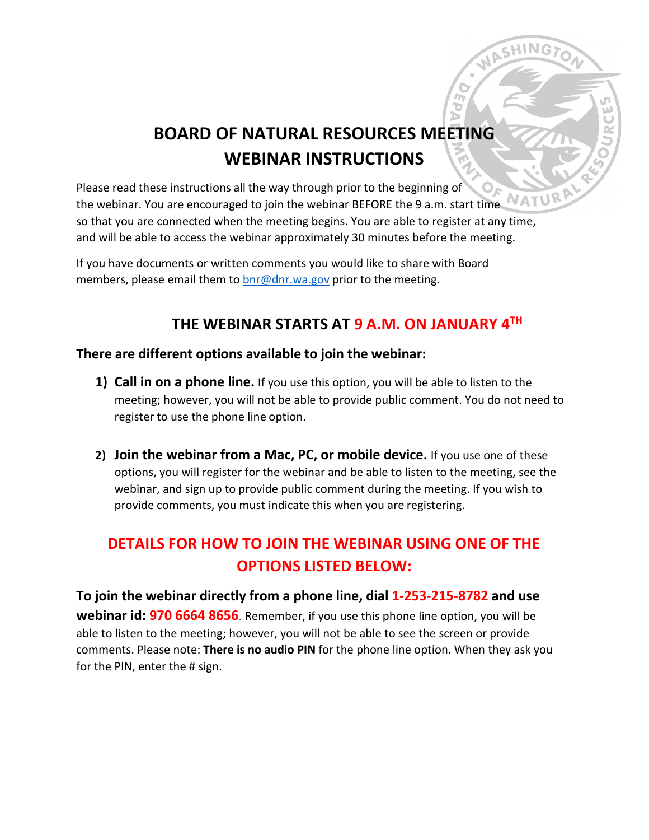## **BOARD OF NATURAL RESOURCES MEETING WEBINAR INSTRUCTIONS**

Please read these instructions all the way through prior to the beginning of **NATUV** the webinar. You are encouraged to join the webinar BEFORE the 9 a.m. start time so that you are connected when the meeting begins. You are able to register at any time, and will be able to access the webinar approximately 30 minutes before the meeting.

If you have documents or written comments you would like to share with Board members, please email them to [bnr@dnr.wa.gov](mailto:bnr@dnr.wa.gov) prior to the meeting.

## **THE WEBINAR STARTS AT 9 A.M. ON JANUARY 4TH**

## **There are different options available to join the webinar:**

- **1) Call in on a phone line.** If you use this option, you will be able to listen to the meeting; however, you will not be able to provide public comment. You do not need to register to use the phone line option.
- **2) Join the webinar from a Mac, PC, or mobile device.** If you use one of these options, you will register for the webinar and be able to listen to the meeting, see the webinar, and sign up to provide public comment during the meeting. If you wish to provide comments, you must indicate this when you are registering.

## **DETAILS FOR HOW TO JOIN THE WEBINAR USING ONE OF THE OPTIONS LISTED BELOW:**

**To join the webinar directly from a phone line, dial 1-253-215-8782 and use webinar id: 970 6664 8656**. Remember, if you use this phone line option, you will be able to listen to the meeting; however, you will not be able to see the screen or provide comments. Please note: **There is no audio PIN** for the phone line option. When they ask you for the PIN, enter the # sign.